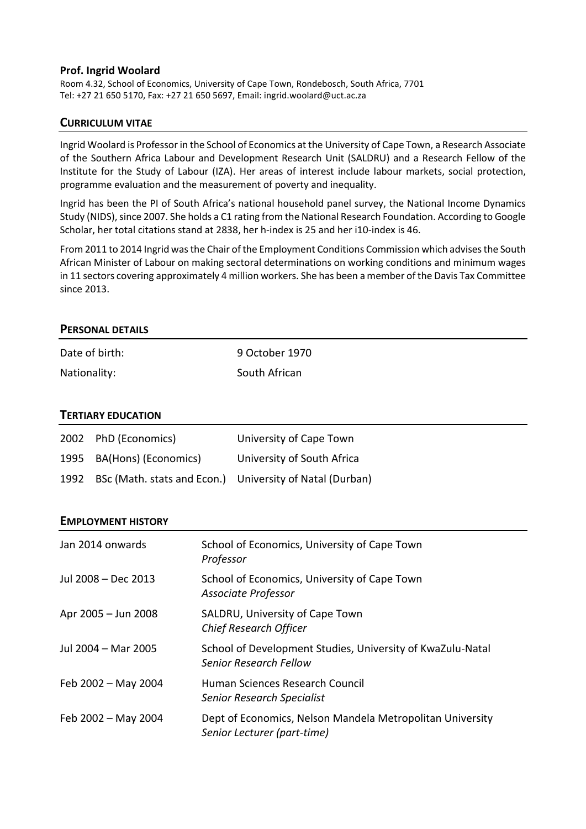# **Prof. Ingrid Woolard**

Room 4.32, School of Economics, University of Cape Town, Rondebosch, South Africa, 7701 Tel: +27 21 650 5170, Fax: +27 21 650 5697, Email: ingrid.woolard@uct.ac.za

# **CURRICULUM VITAE**

Ingrid Woolard is Professor in the School of Economics at the University of Cape Town, a Research Associate of the Southern Africa Labour and Development Research Unit (SALDRU) and a Research Fellow of the Institute for the Study of Labour (IZA). Her areas of interest include labour markets, social protection, programme evaluation and the measurement of poverty and inequality.

Ingrid has been the PI of South Africa's national household panel survey, the National Income Dynamics Study (NIDS), since 2007. She holds a C1 rating from the National Research Foundation. According to Google Scholar, her total citations stand at 2838, her h-index is 25 and her i10-index is 46.

From 2011 to 2014 Ingrid wasthe Chair of the Employment Conditions Commission which advises the South African Minister of Labour on making sectoral determinations on working conditions and minimum wages in 11 sectors covering approximately 4 million workers. She has been a member of the Davis Tax Committee since 2013.

# **PERSONAL DETAILS**

| Date of birth: | 9 October 1970 |
|----------------|----------------|
| Nationality:   | South African  |

# **TERTIARY EDUCATION**

| 2002 PhD (Economics)                                          | University of Cape Town    |
|---------------------------------------------------------------|----------------------------|
| 1995 BA(Hons) (Economics)                                     | University of South Africa |
| 1992 BSc (Math. stats and Econ.) University of Natal (Durban) |                            |

# **EMPLOYMENT HISTORY**

| Jan 2014 onwards    | School of Economics, University of Cape Town<br>Professor                                   |
|---------------------|---------------------------------------------------------------------------------------------|
| Jul 2008 – Dec 2013 | School of Economics, University of Cape Town<br>Associate Professor                         |
| Apr 2005 - Jun 2008 | SALDRU, University of Cape Town<br><b>Chief Research Officer</b>                            |
| Jul 2004 - Mar 2005 | School of Development Studies, University of KwaZulu-Natal<br><b>Senior Research Fellow</b> |
| Feb 2002 - May 2004 | Human Sciences Research Council<br>Senior Research Specialist                               |
| Feb 2002 - May 2004 | Dept of Economics, Nelson Mandela Metropolitan University<br>Senior Lecturer (part-time)    |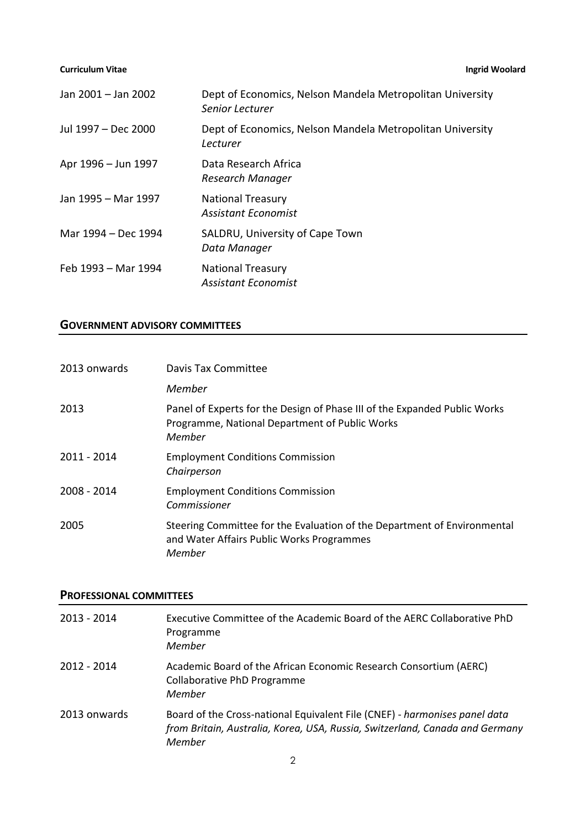| Jan 2001 - Jan 2002 | Dept of Economics, Nelson Mandela Metropolitan University<br>Senior Lecturer |
|---------------------|------------------------------------------------------------------------------|
| Jul 1997 - Dec 2000 | Dept of Economics, Nelson Mandela Metropolitan University<br>Lecturer        |
| Apr 1996 - Jun 1997 | Data Research Africa<br>Research Manager                                     |
| Jan 1995 - Mar 1997 | <b>National Treasury</b><br><b>Assistant Economist</b>                       |
| Mar 1994 – Dec 1994 | SALDRU, University of Cape Town<br>Data Manager                              |
| Feb 1993 – Mar 1994 | <b>National Treasury</b><br><b>Assistant Economist</b>                       |

# **GOVERNMENT ADVISORY COMMITTEES**

| 2013 onwards | Davis Tax Committee                                                                                                                   |
|--------------|---------------------------------------------------------------------------------------------------------------------------------------|
|              | Member                                                                                                                                |
| 2013         | Panel of Experts for the Design of Phase III of the Expanded Public Works<br>Programme, National Department of Public Works<br>Member |
| 2011 - 2014  | <b>Employment Conditions Commission</b><br>Chairperson                                                                                |
| 2008 - 2014  | <b>Employment Conditions Commission</b><br>Commissioner                                                                               |
| 2005         | Steering Committee for the Evaluation of the Department of Environmental<br>and Water Affairs Public Works Programmes<br>Member       |

# **PROFESSIONAL COMMITTEES**

| $2013 - 2014$ | Executive Committee of the Academic Board of the AERC Collaborative PhD<br>Programme<br>Member                                                                       |
|---------------|----------------------------------------------------------------------------------------------------------------------------------------------------------------------|
| $2012 - 2014$ | Academic Board of the African Economic Research Consortium (AERC)<br>Collaborative PhD Programme<br>Member                                                           |
| 2013 onwards  | Board of the Cross-national Equivalent File (CNEF) - harmonises panel data<br>from Britain, Australia, Korea, USA, Russia, Switzerland, Canada and Germany<br>Member |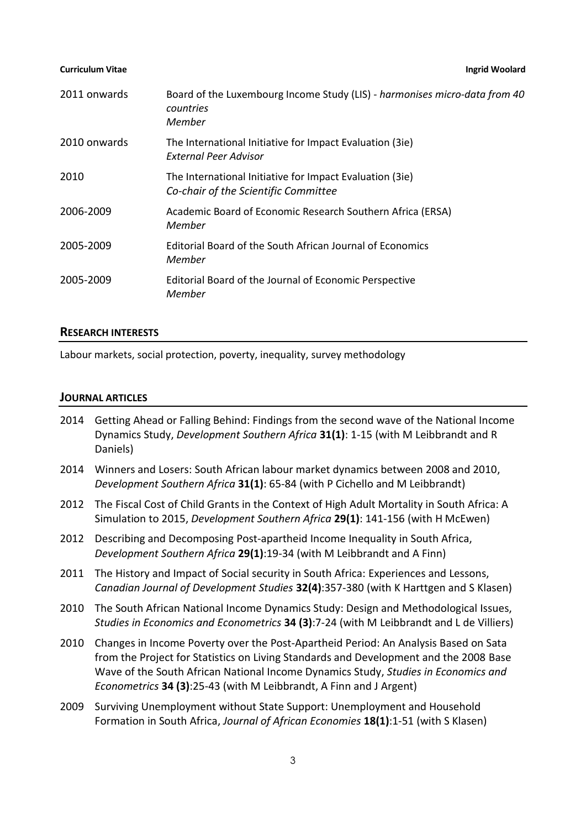| 2011 onwards | Board of the Luxembourg Income Study (LIS) - harmonises micro-data from 40<br>countries<br>Member |
|--------------|---------------------------------------------------------------------------------------------------|
| 2010 onwards | The International Initiative for Impact Evaluation (3ie)<br>External Peer Advisor                 |
| 2010         | The International Initiative for Impact Evaluation (3ie)<br>Co-chair of the Scientific Committee  |
| 2006-2009    | Academic Board of Economic Research Southern Africa (ERSA)<br>Member                              |
| 2005-2009    | Editorial Board of the South African Journal of Economics<br>Member                               |
| 2005-2009    | Editorial Board of the Journal of Economic Perspective<br>Member                                  |

### **RESEARCH INTERESTS**

Labour markets, social protection, poverty, inequality, survey methodology

#### **JOURNAL ARTICLES**

- 2014 Getting Ahead or Falling Behind: Findings from the second wave of the National Income Dynamics Study, *Development Southern Africa* **31(1)**: 1-15 (with M Leibbrandt and R Daniels)
- 2014 Winners and Losers: South African labour market dynamics between 2008 and 2010, *Development Southern Africa* **31(1)**: 65-84 (with P Cichello and M Leibbrandt)
- 2012 The Fiscal Cost of Child Grants in the Context of High Adult Mortality in South Africa: A Simulation to 2015, *Development Southern Africa* **29(1)**: 141-156 (with H McEwen)
- 2012 Describing and Decomposing Post-apartheid Income Inequality in South Africa, *Development Southern Africa* **29(1)**:19-34 (with M Leibbrandt and A Finn)
- 2011 The History and Impact of Social security in South Africa: Experiences and Lessons, *Canadian Journal of Development Studies* **32(4)**:357-380 (with K Harttgen and S Klasen)
- 2010 The South African National Income Dynamics Study: Design and Methodological Issues, *Studies in Economics and Econometrics* **34 (3)**:7-24 (with M Leibbrandt and L de Villiers)
- 2010 Changes in Income Poverty over the Post-Apartheid Period: An Analysis Based on Sata from the Project for Statistics on Living Standards and Development and the 2008 Base Wave of the South African National Income Dynamics Study, *Studies in Economics and Econometrics* **34 (3)**:25-43 (with M Leibbrandt, A Finn and J Argent)
- 2009 Surviving Unemployment without State Support: Unemployment and Household Formation in South Africa, *Journal of African Economies* **18(1)**:1-51 (with S Klasen)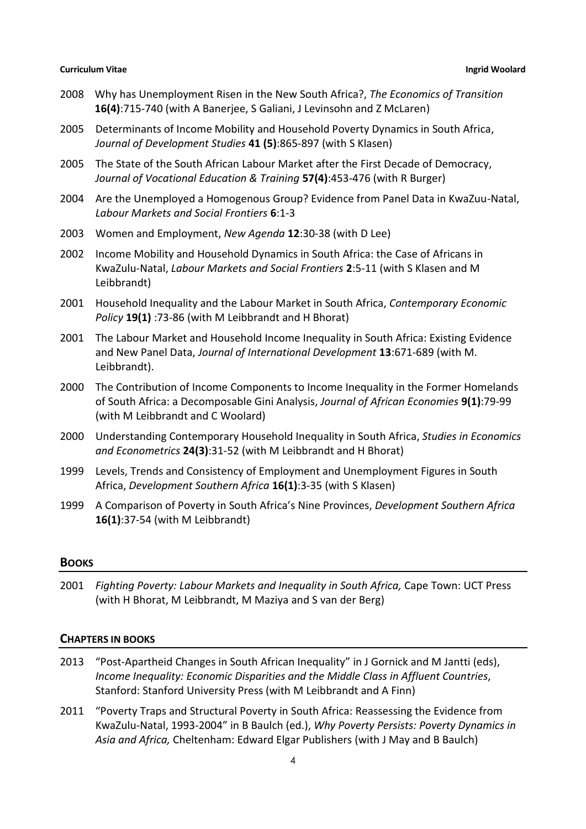- 2008 Why has Unemployment Risen in the New South Africa?, *The Economics of Transition* **16(4)**:715-740 (with A Banerjee, S Galiani, J Levinsohn and Z McLaren)
- 2005 Determinants of Income Mobility and Household Poverty Dynamics in South Africa, *Journal of Development Studies* **41 (5)**:865-897 (with S Klasen)
- 2005 The State of the South African Labour Market after the First Decade of Democracy, *Journal of Vocational Education & Training* **57(4)**:453-476 (with R Burger)
- 2004 Are the Unemployed a Homogenous Group? Evidence from Panel Data in KwaZuu-Natal, *Labour Markets and Social Frontiers* **6**:1-3
- 2003 Women and Employment, *New Agenda* **12**:30-38 (with D Lee)
- 2002 Income Mobility and Household Dynamics in South Africa: the Case of Africans in KwaZulu-Natal, *Labour Markets and Social Frontiers* **2**:5-11 (with S Klasen and M Leibbrandt)
- 2001 Household Inequality and the Labour Market in South Africa, *Contemporary Economic Policy* **19(1)** :73-86 (with M Leibbrandt and H Bhorat)
- 2001 The Labour Market and Household Income Inequality in South Africa: Existing Evidence and New Panel Data, *Journal of International Development* **13**:671-689 (with M. Leibbrandt).
- 2000 The Contribution of Income Components to Income Inequality in the Former Homelands of South Africa: a Decomposable Gini Analysis, *Journal of African Economies* **9(1)**:79-99 (with M Leibbrandt and C Woolard)
- 2000 Understanding Contemporary Household Inequality in South Africa, *Studies in Economics and Econometrics* **24(3)**:31-52 (with M Leibbrandt and H Bhorat)
- 1999 Levels, Trends and Consistency of Employment and Unemployment Figures in South Africa, *Development Southern Africa* **16(1)**:3-35 (with S Klasen)
- 1999 A Comparison of Poverty in South Africa's Nine Provinces, *Development Southern Africa* **16(1)**:37-54 (with M Leibbrandt)

# **BOOKS**

2001 *Fighting Poverty: Labour Markets and Inequality in South Africa,* Cape Town: UCT Press (with H Bhorat, M Leibbrandt, M Maziya and S van der Berg)

# **CHAPTERS IN BOOKS**

- 2013 "Post-Apartheid Changes in South African Inequality" in J Gornick and M Jantti (eds), *Income Inequality: Economic Disparities and the Middle Class in Affluent Countries*, Stanford: Stanford University Press (with M Leibbrandt and A Finn)
- 2011 "Poverty Traps and Structural Poverty in South Africa: Reassessing the Evidence from KwaZulu-Natal, 1993-2004" in B Baulch (ed.), *Why Poverty Persists: Poverty Dynamics in Asia and Africa,* Cheltenham: Edward Elgar Publishers (with J May and B Baulch)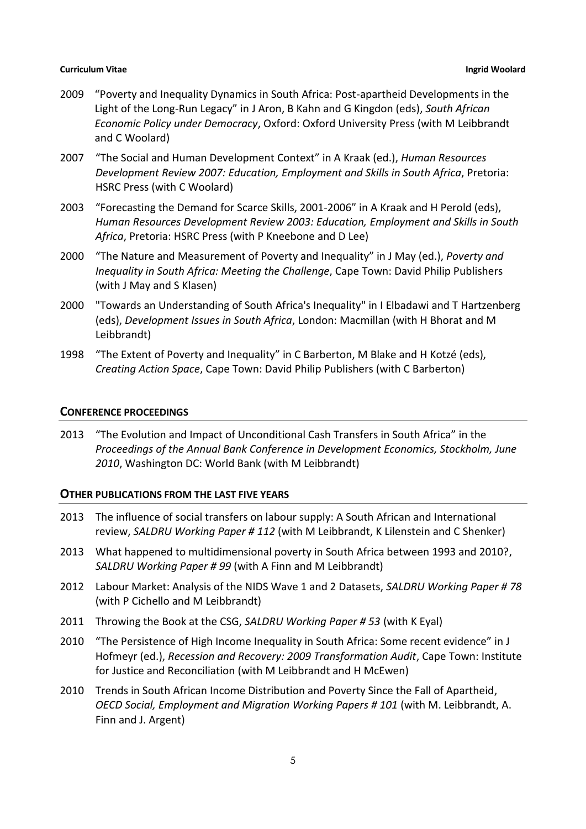- 2009 "Poverty and Inequality Dynamics in South Africa: Post-apartheid Developments in the Light of the Long-Run Legacy" in J Aron, B Kahn and G Kingdon (eds), *South African Economic Policy under Democracy*, Oxford: Oxford University Press (with M Leibbrandt and C Woolard)
- 2007 "The Social and Human Development Context" in A Kraak (ed.), *Human Resources Development Review 2007: Education, Employment and Skills in South Africa*, Pretoria: HSRC Press (with C Woolard)
- 2003 "Forecasting the Demand for Scarce Skills, 2001-2006" in A Kraak and H Perold (eds), *Human Resources Development Review 2003: Education, Employment and Skills in South Africa*, Pretoria: HSRC Press (with P Kneebone and D Lee)
- 2000 "The Nature and Measurement of Poverty and Inequality" in J May (ed.), *Poverty and Inequality in South Africa: Meeting the Challenge*, Cape Town: David Philip Publishers (with J May and S Klasen)
- 2000 "Towards an Understanding of South Africa's Inequality" in I Elbadawi and T Hartzenberg (eds), *Development Issues in South Africa*, London: Macmillan (with H Bhorat and M Leibbrandt)
- 1998 "The Extent of Poverty and Inequality" in C Barberton, M Blake and H Kotzé (eds), *Creating Action Space*, Cape Town: David Philip Publishers (with C Barberton)

## **CONFERENCE PROCEEDINGS**

2013 "The Evolution and Impact of Unconditional Cash Transfers in South Africa" in the *Proceedings of the Annual Bank Conference in Development Economics, Stockholm, June 2010*, Washington DC: World Bank (with M Leibbrandt)

# **OTHER PUBLICATIONS FROM THE LAST FIVE YEARS**

- 2013 The influence of social transfers on labour supply: A South African and International review, *SALDRU Working Paper # 112* (with M Leibbrandt, K Lilenstein and C Shenker)
- 2013 What happened to multidimensional poverty in South Africa between 1993 and 2010?, *SALDRU Working Paper # 99* (with A Finn and M Leibbrandt)
- 2012 Labour Market: Analysis of the NIDS Wave 1 and 2 Datasets, *SALDRU Working Paper # 78* (with P Cichello and M Leibbrandt)
- 2011 Throwing the Book at the CSG, *SALDRU Working Paper # 53* (with K Eyal)
- 2010 "The Persistence of High Income Inequality in South Africa: Some recent evidence" in J Hofmeyr (ed.), *Recession and Recovery: 2009 Transformation Audit*, Cape Town: Institute for Justice and Reconciliation (with M Leibbrandt and H McEwen)
- 2010 Trends in South African Income Distribution and Poverty Since the Fall of Apartheid, *OECD Social, Employment and Migration Working Papers # 101* (with M. Leibbrandt, A. Finn and J. Argent)